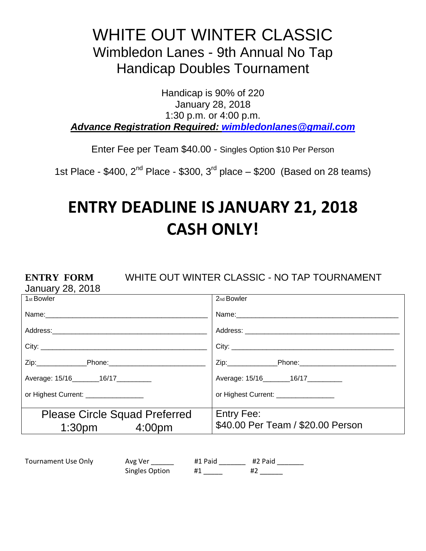## WHITE OUT WINTER CLASSIC Wimbledon Lanes - 9th Annual No Tap Handicap Doubles Tournament

Handicap is 90% of 220 January 28, 2018 1:30 p.m. or 4:00 p.m. *Advance Registration Required: [wimbledonlanes@gmail.com](mailto:wimbledonlanes@gmail.com)*

Enter Fee per Team \$40.00 - Singles Option \$10 Per Person

1st Place - \$400,  $2^{nd}$  Place - \$300,  $3^{rd}$  place  $-$  \$200 (Based on 28 teams)

# **ENTRY DEADLINE IS JANUARY 21, 2018 CASH ONLY!**

#### **ENTRY FORM** WHITE OUT WINTER CLASSIC - NO TAP TOURNAMENT

January 28, 2018

| 1 <sub>st</sub> Bowler                | 2 <sub>nd</sub> Bowler                |  |
|---------------------------------------|---------------------------------------|--|
|                                       |                                       |  |
|                                       |                                       |  |
|                                       |                                       |  |
|                                       |                                       |  |
| Average: 15/16 _______ 16/17 ________ | Average: 15/16 _______ 16/17 ________ |  |
| or Highest Current: _________________ | or Highest Current: _________________ |  |
|                                       | <b>Entry Fee:</b>                     |  |
| <b>Please Circle Squad Preferred</b>  | \$40.00 Per Team / \$20.00 Person     |  |
| $1:30pm$ 4:00pm                       |                                       |  |

| Tournament Use Only | Avg Ver        | #1 Paid | #2 Paid |
|---------------------|----------------|---------|---------|
|                     | Singles Option |         |         |